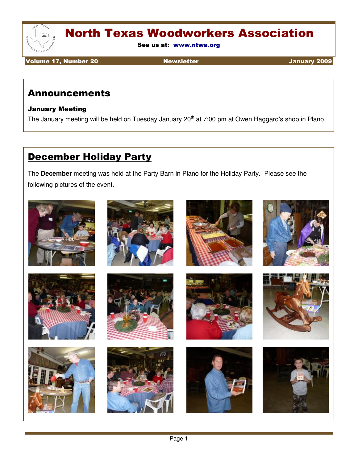

See us at: www.ntwa.org

Volume 17, Number 20 Newsletter January 2009

#### Announcements

#### January Meeting

The January meeting will be held on Tuesday January 20<sup>th</sup> at 7:00 pm at Owen Haggard's shop in Plano.

### December Holiday Party

The **December** meeting was held at the Party Barn in Plano for the Holiday Party. Please see the following pictures of the event.

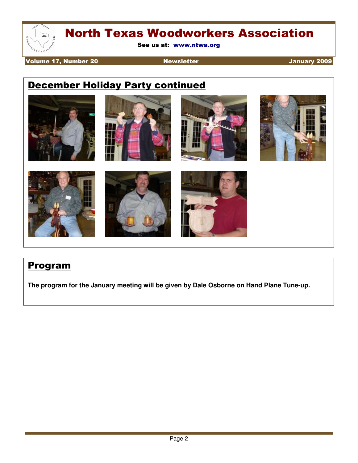

See us at: www.ntwa.org

Volume 17, Number 20 Newsletter And The University 2009

### December Holiday Party continued



#### Program

**The program for the January meeting will be given by Dale Osborne on Hand Plane Tune-up.**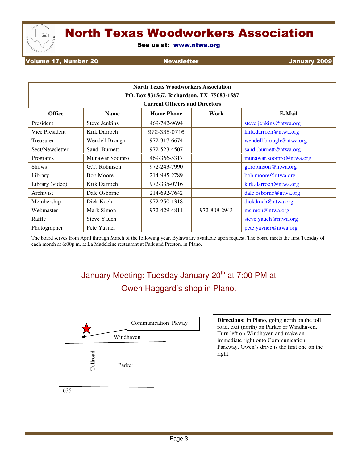

See us at: www.ntwa.org

Volume 17, Number 20 Newsletter  $\blacksquare$  Newsletter  $\blacksquare$ 

| <b>North Texas Woodworkers Association</b> |                      |                   |              |                         |  |
|--------------------------------------------|----------------------|-------------------|--------------|-------------------------|--|
| PO. Box 831567, Richardson, TX 75083-1587  |                      |                   |              |                         |  |
| <b>Current Officers and Directors</b>      |                      |                   |              |                         |  |
| <b>Office</b>                              | <b>Name</b>          | <b>Home Phone</b> | Work         | E-Mail                  |  |
| President                                  | <b>Steve Jenkins</b> | 469-742-9694      |              | steve.jenkins@ntwa.org  |  |
| Vice President                             | Kirk Darroch         | 972-335-0716      |              | kirk.darroch@ntwa.org   |  |
| Treasurer                                  | Wendell Brough       | 972-317-6674      |              | wendell.brough@ntwa.org |  |
| Sect/Newsletter                            | Sandi Burnett        | 972-523-4507      |              | sandi.burnett@ntwa.org  |  |
| Programs                                   | Munawar Soomro       | 469-366-5317      |              | munawar.soomro@ntwa.org |  |
| <b>Shows</b>                               | G.T. Robinson        | 972-243-7990      |              | gt.robinson@ntwa.org    |  |
| Library                                    | <b>Bob Moore</b>     | 214-995-2789      |              | bob.moore@ntwa.org      |  |
| Library (video)                            | Kirk Darroch         | 972-335-0716      |              | kirk.darroch@ntwa.org   |  |
| Archivist                                  | Dale Osborne         | 214-692-7642      |              | dale.osborne@ntwa.org   |  |
| Membership                                 | Dick Koch            | 972-250-1318      |              | dick.koch@ntwa.org      |  |
| Webmaster                                  | Mark Simon           | 972-429-4811      | 972-808-2943 | msimon@ntwa.org         |  |
| Raffle                                     | <b>Steve Yauch</b>   |                   |              | steve.yauch@ntwa.org    |  |
| Photographer                               | Pete Yavner          |                   |              | pete.yavner@ntwa.org    |  |

The board serves from April through March of the following year. Bylaws are available upon request. The board meets the first Tuesday of each month at 6:00p.m. at La Madeleine restaurant at Park and Preston, in Plano.

### January Meeting: Tuesday January 20<sup>th</sup> at 7:00 PM at Owen Haggard's shop in Plano.



**Communication Pkway Directions:** In Plano, going north on the toll road, exit (north) on Parker or Windhaven. Turn left on Windhaven and make an immediate right onto Communication Parkway. Owen's drive is the first one on the right.